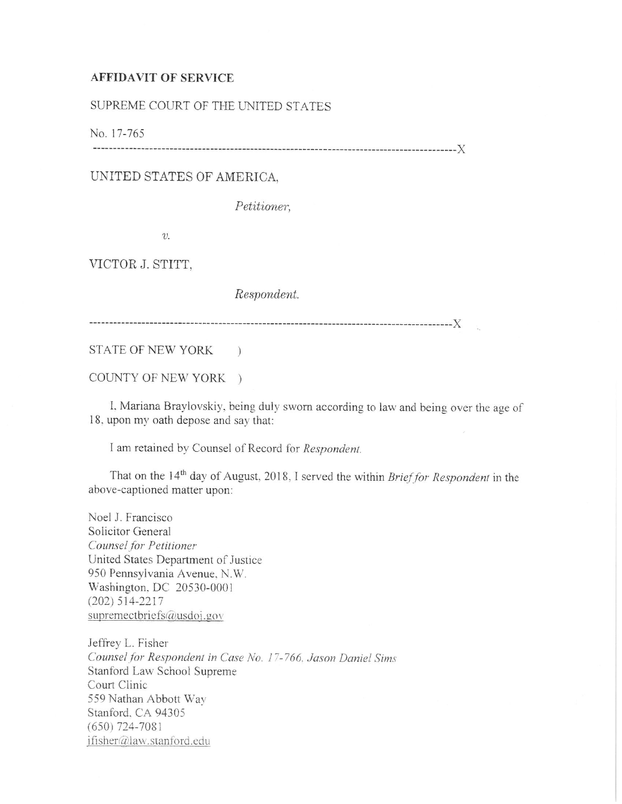## **AFFIDAVIT OF SERVICE**

SUPREME COURT OF THE UNITED STATES

No. 17-765 ------------------------------------------------------------------------------------------)(

UNITED STATES OF AMERICA,

*Petitioner,* 

*v.* 

VICTOR J. STITT,

*Respondent.* 

------------------------------------------------------------------------------------------)(

STATE OF NEW YORK )

COUNTY OF NEW YORK )

I. Mariana Braylovskiy. being duly sworn according to law and being over the age of <sup>18</sup>. upon my oath depose and say that:

<sup>I</sup>am retained by Counsel of Record for *Respondent.* 

That on the 14<sup>th</sup> day of August, 2018, I served the within *Brief for Respondent* in the above-captioned matter upon:

Noel J. Francisco Solicitor General *Counsel for Petizioner*  United States Department of Justice 950 Pennsylvania Avenue. N.W. Washington. DC 20530-000 I  $(202)$  514-2217 supremectoriefs@usdoj.gov

Jeffrey L. Fisher *Counselfor Respondent in Case No. 17-766. Jason Daniel Sims*  Stanford Law School Supreme Court Clinic 559 Nathan Abbott Way Stanford. CA 94305 (650) 724-708 1 jfisher@law.stanford.edu